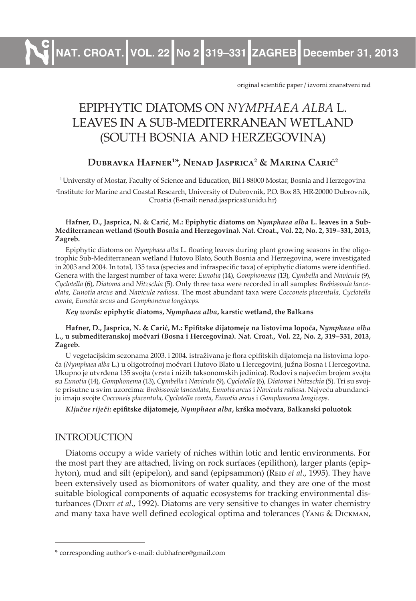**NAT. CROAT. VOL. 22 No 2 319–331 ZAGREB December 31, 2013**

original scientific paper / izvorni znanstveni rad

# EPIPHYTIC DIATOMS ON *NYMPHAEA ALBA* L. LEAVES IN A SUB-MEDITERRANEAN WETLAND (SOUTH BOSNIA AND HERZEGOVINA)

## **Dubravka Hafner<sup>1</sup> \*, Nenad Jasprica<sup>2</sup> & Marina Carić<sup>2</sup>**

<sup>1</sup>University of Mostar, Faculty of Science and Education, BiH-88000 Mostar, Bosnia and Herzegovina 2 Institute for Marine and Coastal Research, University of Dubrovnik, P.O. Box 83, HR-20000 Dubrovnik, Croatia (E-mail: nenad.jasprica@unidu.hr)

#### **Hafner, D., Jasprica, N. & Carić, M.: Epiphytic diatoms on** *Nymphaea alba* **L. leaves in a Sub-Mediterranean wetland (South Bosnia and Herzegovina). Nat. Croat., Vol. 22, No. 2, 319–331, 2013, Zagreb.**

Epiphytic diatoms on *Nymphaea alba* L. floating leaves during plant growing seasons in the oligotrophic Sub-Mediterranean wetland Hutovo Blato, South Bosnia and Herzegovina, were investigated in 2003 and 2004. In total, 135 taxa (species and infraspecific taxa) of epiphytic diatoms were identified. Genera with the largest number of taxa were: *Eunotia* (14), *Gomphonema* (13), *Cymbella* and *Navicula* (9), *Cyclotella* (6), *Diatoma* and *Nitzschia* (5). Only three taxa were recorded in all samples: *Brebissonia lanceolata*, *Eunotia arcus* and *Navicula radiosa.* The most abundant taxa were *Cocconeis placentula*, *Cyclotella comta*, *Eunotia arcus* and *Gomphonema longiceps*.

*Key words:* **epiphytic diatoms,** *Nymphaea alba***, karstic wetland, the Balkans**

#### **Hafner, D., Jasprica, N. & Carić, M.: Epifitske dijatomeje na listovima lopoča,** *Nymphaea alba* **L., u submediteranskoj močvari (Bosna i Hercegovina). Nat. Croat., Vol. 22, No. 2, 319–331, 2013, Zagreb.**

U vegetacijskim sezonama 2003. i 2004. istraživana je flora epifitskih dijatomeja na listovima lopoča (*Nymphaea alba* L.) u oligotrofnoj močvari Hutovo Blato u Hercegovini, južna Bosna i Hercegovina. Ukupno je utvrđena 135 svojta (vrsta i nižih taksonomskih jedinica). Rodovi s najvećim brojem svojta su *Eunotia* (14), *Gomphonema* (13), *Cymbella* i *Navicula* (9), *Cyclotella* (6), *Diatoma* i *Nitzschia* (5). Tri su svojte prisutne u svim uzorcima: *Brebissonia lanceolata*, *Eunotia arcus* i *Navicula radiosa.* Najveću abundanciju imaju svojte *Cocconeis placentula*, *Cyclotella comta*, *Eunotia arcus* i *Gomphonema longiceps*.

*Ključne riječi:* **epifitske dijatomeje,** *Nymphaea alba***, krška močvara, Balkanski poluotok**

## INTRODUCTION

Diatoms occupy a wide variety of niches within lotic and lentic environments. For the most part they are attached, living on rock surfaces (epilithon), larger plants (epiphyton), mud and silt (epipelon), and sand (epipsammon) (REID *et al.*, 1995). They have been extensively used as biomonitors of water quality, and they are one of the most suitable biological components of aquatic ecosystems for tracking environmental disturbances (Dixit *et al*., 1992). Diatoms are very sensitive to changes in water chemistry and many taxa have well defined ecological optima and tolerances (Yang & Dickman,

<sup>\*</sup> corresponding author's e-mail: dubhafner@gmail.com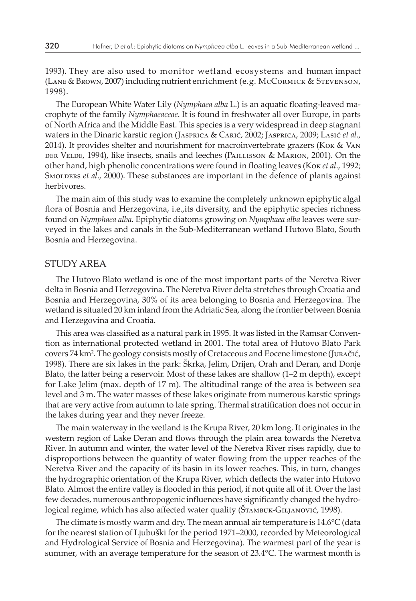1993). They are also used to monitor wetland ecosystems and human impact (Lane & Brown, 2007) including nutrient enrichment (e.g. McCormick & Stevenson, 1998).

The European White Water Lily (*Nymphaea alba* L.) is an aquatic floating-leaved macrophyte of the family *Nymphaeaceae*. It is found in freshwater all over Europe, in parts of North Africa and the Middle East. This species is a very widespread in deep stagnant waters in the Dinaric karstic region (Jasprica & Carić, 2002; Jasprica, 2009; Lasić *et al*., 2014). It provides shelter and nourishment for macroinvertebrate grazers (Kok & Van der Velde, 1994), like insects, snails and leeches (Paillisson & Marion, 2001). On the other hand, high phenolic concentrations were found in floating leaves (Kok *et al*., 1992; Smolders *et al*., 2000). These substances are important in the defence of plants against herbivores.

The main aim of this study was to examine the completely unknown epiphytic algal flora of Bosnia and Herzegovina, i.e.,its diversity, and the epiphytic species richness found on *Nymphaea alba*. Epiphytic diatoms growing on *Nymphaea alba* leaves were surveyed in the lakes and canals in the Sub-Mediterranean wetland Hutovo Blato, South Bosnia and Herzegovina.

### STUDY AREA

The Hutovo Blato wetland is one of the most important parts of the Neretva River delta in Bosnia and Herzegovina. The Neretva River delta stretches through Croatia and Bosnia and Herzegovina, 30% of its area belonging to Bosnia and Herzegovina. The wetland is situated 20 km inland from the Adriatic Sea, along the frontier between Bosnia and Herzegovina and Croatia.

This area was classified as a natural park in 1995. It was listed in the Ramsar Convention as international protected wetland in 2001. The total area of Hutovo Blato Park covers 74 km<sup>2</sup> . The geology consists mostly of Cretaceous and Eocene limestone (Juračić, 1998). There are six lakes in the park: Škrka, Jelim, Drijen, Orah and Deran, and Donje Blato, the latter being a reservoir. Most of these lakes are shallow (1–2 m depth), except for Lake Jelim (max. depth of 17 m). The altitudinal range of the area is between sea level and 3 m. The water masses of these lakes originate from numerous karstic springs that are very active from autumn to late spring. Thermal stratification does not occur in the lakes during year and they never freeze.

The main waterway in the wetland is the Krupa River, 20 km long. It originates in the western region of Lake Deran and flows through the plain area towards the Neretva River. In autumn and winter, the water level of the Neretva River rises rapidly, due to disproportions between the quantity of water flowing from the upper reaches of the Neretva River and the capacity of its basin in its lower reaches. This, in turn, changes the hydrographic orientation of the Krupa River, which deflects the water into Hutovo Blato. Almost the entire valley is flooded in this period, if not quite all of it. Over the last few decades, numerous anthropogenic influences have significantly changed the hydrological regime, which has also affected water quality (ŠTAMBUK-GILJANOVIĆ, 1998).

The climate is mostly warm and dry. The mean annual air temperature is 14.6°C (data for the nearest station of Ljubuški for the period 1971–2000, recorded by Meteorological and Hydrological Service of Bosnia and Herzegovina). The warmest part of the year is summer, with an average temperature for the season of 23.4°C. The warmest month is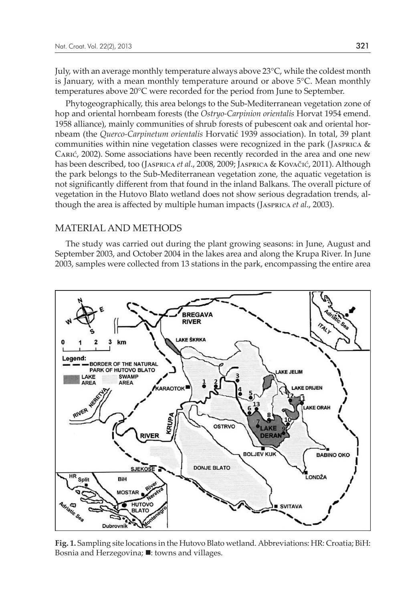July, with an average monthly temperature always above 23°C, while the coldest month is January, with a mean monthly temperature around or above 5°C. Mean monthly temperatures above 20°C were recorded for the period from June to September.

Phytogeographically, this area belongs to the Sub-Mediterranean vegetation zone of hop and oriental hornbeam forests (the *Ostryo-Carpinion orientalis* Horvat 1954 emend. 1958 alliance), mainly communities of shrub forests of pubescent oak and oriental hornbeam (the *Querco-Carpinetum orientalis* Horvatić 1939 association). In total, 39 plant communities within nine vegetation classes were recognized in the park (JASPRICA  $\&$ Carić, 2002). Some associations have been recently recorded in the area and one new has been described, too (Jasprica *et al*., 2008, 2009; Jasprica & Kovačić, 2011). Although the park belongs to the Sub-Mediterranean vegetation zone, the aquatic vegetation is not significantly different from that found in the inland Balkans. The overall picture of vegetation in the Hutovo Blato wetland does not show serious degradation trends, although the area is affected by multiple human impacts (Jasprica *et al*., 2003).

#### MATERIAL AND METHODS

The study was carried out during the plant growing seasons: in June, August and September 2003, and October 2004 in the lakes area and along the Krupa River. In June 2003, samples were collected from 13 stations in the park, encompassing the entire area



**Fig. 1.** Sampling site locations in the Hutovo Blato wetland. Abbreviations: HR: Croatia; BiH: Bosnia and Herzegovina;  $\blacksquare$ : towns and villages.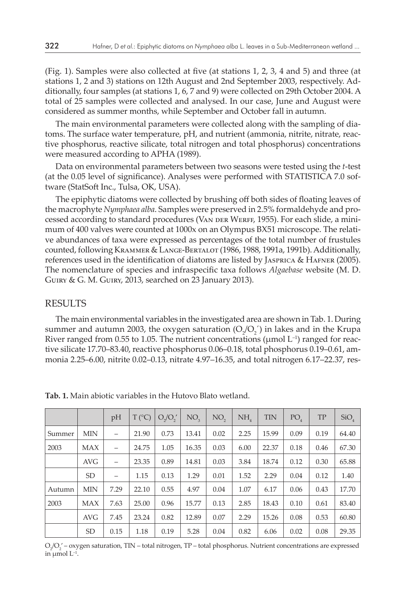(Fig. 1). Samples were also collected at five (at stations 1, 2, 3, 4 and 5) and three (at stations 1, 2 and 3) stations on 12th August and 2nd September 2003, respectively. Additionally, four samples (at stations 1, 6, 7 and 9) were collected on 29th October 2004. A total of 25 samples were collected and analysed. In our case, June and August were considered as summer months, while September and October fall in autumn.

The main environmental parameters were collected along with the sampling of diatoms. The surface water temperature, pH, and nutrient (ammonia, nitrite, nitrate, reactive phosphorus, reactive silicate, total nitrogen and total phosphorus) concentrations were measured according to APHA (1989).

Data on environmental parameters between two seasons were tested using the *t*-test (at the 0.05 level of significance). Analyses were performed with STATISTICA 7.0 software (StatSoft Inc., Tulsa, OK, USA).

The epiphytic diatoms were collected by brushing off both sides of floating leaves of the macrophyte *Nymphaea alba*. Samples were preserved in 2.5% formaldehyde and processed according to standard procedures (VAN DER WERFF, 1955). For each slide, a minimum of 400 valves were counted at 1000x on an Olympus BX51 microscope. The relative abundances of taxa were expressed as percentages of the total number of frustules counted, following Krammer & Lange-Bertalot (1986, 1988, 1991a, 1991b). Additionally, references used in the identification of diatoms are listed by Jasprica & Hafner (2005). The nomenclature of species and infraspecific taxa follows *Algaebase* website (M. D. Guiry & G. M. Guiry, 2013, searched on 23 January 2013).

#### RESULTS

The main environmental variables in the investigated area are shown in Tab. 1. During summer and autumn 2003, the oxygen saturation  $(O_2/O_2^{\prime})$  in lakes and in the Krupa River ranged from 0.55 to 1.05. The nutrient concentrations ( $\mu$ mol L<sup>-1</sup>) ranged for reactive silicate 17.70–83.40, reactive phosphorus 0.06–0.18, total phosphorus 0.19–0.61, ammonia 2.25–6.00, nitrite 0.02–0.13, nitrate 4.97–16.35, and total nitrogen 6.17–22.37, res-

|        |            | pH                       | $T (^{\circ}C)$ | $O_2/O_2'$ | NO <sub>2</sub> | NO <sub>2</sub> | NH   | <b>TIN</b> | PO <sub>4</sub> | TP   | SiO <sub>4</sub> |
|--------|------------|--------------------------|-----------------|------------|-----------------|-----------------|------|------------|-----------------|------|------------------|
| Summer | <b>MIN</b> |                          | 21.90           | 0.73       | 13.41           | 0.02            | 2.25 | 15.99      | 0.09            | 0.19 | 64.40            |
| 2003   | <b>MAX</b> |                          | 24.75           | 1.05       | 16.35           | 0.03            | 6.00 | 22.37      | 0.18            | 0.46 | 67.30            |
|        | <b>AVG</b> | $\overline{\phantom{0}}$ | 23.35           | 0.89       | 14.81           | 0.03            | 3.84 | 18.74      | 0.12            | 0.30 | 65.88            |
|        | <b>SD</b>  |                          | 1.15            | 0.13       | 1.29            | 0.01            | 1.52 | 2.29       | 0.04            | 0.12 | 1.40             |
| Autumn | <b>MIN</b> | 7.29                     | 22.10           | 0.55       | 4.97            | 0.04            | 1.07 | 6.17       | 0.06            | 0.43 | 17.70            |
| 2003   | <b>MAX</b> | 7.63                     | 25.00           | 0.96       | 15.77           | 0.13            | 2.85 | 18.43      | 0.10            | 0.61 | 83.40            |
|        | <b>AVG</b> | 7.45                     | 23.24           | 0.82       | 12.89           | 0.07            | 2.29 | 15.26      | 0.08            | 0.53 | 60.80            |
|        | <b>SD</b>  | 0.15                     | 1.18            | 0.19       | 5.28            | 0.04            | 0.82 | 6.06       | 0.02            | 0.08 | 29.35            |

**Tab. 1.** Main abiotic variables in the Hutovo Blato wetland.

 $O_2/O_2'$  – oxygen saturation, TIN – total nitrogen, TP – total phosphorus. Nutrient concentrations are expressed in  $\mu$ mol  $L^{-1}$ .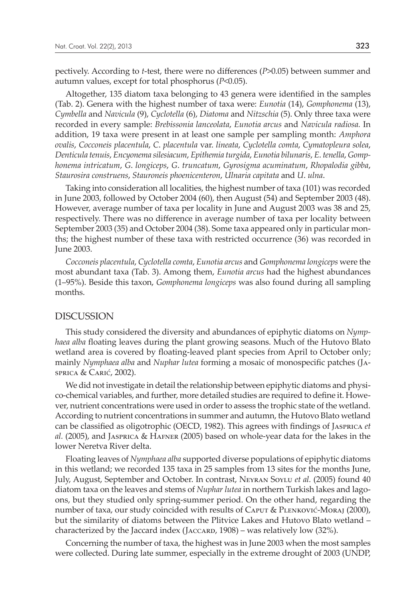pectively. According to *t*-test, there were no differences (*P*>0.05) between summer and autumn values, except for total phosphorus (*P*<0.05).

Altogether, 135 diatom taxa belonging to 43 genera were identified in the samples (Tab. 2). Genera with the highest number of taxa were: *Eunotia* (14), *Gomphonema* (13), *Cymbella* and *Navicula* (9), *Cyclotella* (6), *Diatoma* and *Nitzschia* (5). Only three taxa were recorded in every sample: *Brebissonia lanceolata*, *Eunotia arcus* and *Navicula radiosa.* In addition, 19 taxa were present in at least one sample per sampling month: *Amphora ovalis*, *Cocconeis placentula*, *C*. *placentula* var. *lineata*, *Cyclotella comta*, *Cymatopleura solea*, *Denticula tenuis*, *Encyonema silesiacum*, *Epithemia turgida*, *Eunotia bilunaris*, *E*. *tenella*, *Gomphonema intricatum*, *G*. *longiceps*, *G*. *truncatum*, *Gyrosigma acuminatum*, *Rhopalodia gibba*, *Staurosira construens*, *Stauroneis phoenicenteron*, *Ulnaria capitata* and *U*. *ulna*.

Taking into consideration all localities, the highest number of taxa (101) was recorded in June 2003, followed by October 2004 (60), then August (54) and September 2003 (48). However, average number of taxa per locality in June and August 2003 was 38 and 25, respectively. There was no difference in average number of taxa per locality between September 2003 (35) and October 2004 (38). Some taxa appeared only in particular months; the highest number of these taxa with restricted occurrence (36) was recorded in June 2003.

*Cocconeis placentula*, *Cyclotella comta*, *Eunotia arcus* and *Gomphonema longiceps* were the most abundant taxa (Tab. 3). Among them, *Eunotia arcus* had the highest abundances (1–95%). Beside this taxon, *Gomphonema longiceps* was also found during all sampling months.

#### DISCUSSION

This study considered the diversity and abundances of epiphytic diatoms on *Nymphaea alba* floating leaves during the plant growing seasons. Much of the Hutovo Blato wetland area is covered by floating-leaved plant species from April to October only; mainly *Nymphaea alba* and *Nuphar lutea* forming a mosaic of monospecific patches (Jasprica & Carić, 2002).

We did not investigate in detail the relationship between epiphytic diatoms and physico-chemical variables, and further, more detailed studies are required to define it. However, nutrient concentrations were used in order to assess the trophic state of the wetland. According to nutrient concentrations in summer and autumn, the Hutovo Blato wetland can be classified as oligotrophic (OECD, 1982). This agrees with findings of Jasprica *et al.* (2005), and Jasprica & Hafner (2005) based on whole-year data for the lakes in the lower Neretva River delta.

Floating leaves of *Nymphaea alba* supported diverse populations of epiphytic diatoms in this wetland; we recorded 135 taxa in 25 samples from 13 sites for the months June, July, August, September and October. In contrast, Neyran Soylu *et al.* (2005) found 40 diatom taxa on the leaves and stems of *Nuphar lutea* in northern Turkish lakes and lagoons, but they studied only spring-summer period. On the other hand, regarding the number of taxa, our study coincided with results of Caput & Plenković-Moraj (2000), but the similarity of diatoms between the Plitvice Lakes and Hutovo Blato wetland – characterized by the Jaccard index (JACCARD,  $1908$ ) – was relatively low (32%).

Concerning the number of taxa, the highest was in June 2003 when the most samples were collected. During late summer, especially in the extreme drought of 2003 (UNDP,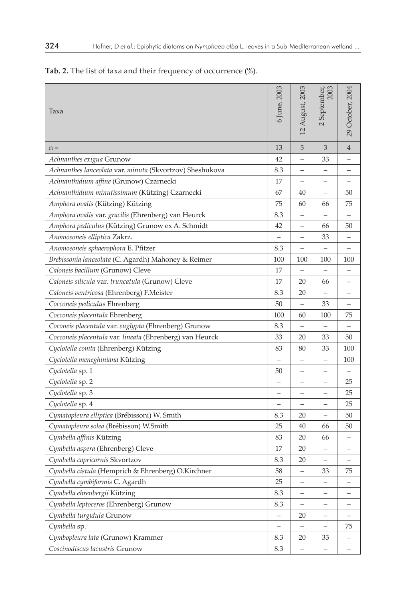# **Tab. 2.** The list of taxa and their frequency of occurrence (%).

| Taxa                                                     | 6 June, 2003             | 12 August, 2003          | 2003<br>September,       | 29 October, 2004 |
|----------------------------------------------------------|--------------------------|--------------------------|--------------------------|------------------|
| $n =$                                                    | 13                       | 5                        | 3                        | $\overline{4}$   |
| Achnanthes exigua Grunow                                 | 42                       | $\overline{\phantom{0}}$ | 33                       |                  |
| Achnanthes lanceolata var. minuta (Skvortzov) Sheshukova | 8.3                      | —                        | -                        |                  |
| Achnanthidium affine (Grunow) Czarnecki                  | 17                       | $\overline{\phantom{0}}$ |                          |                  |
| Achnanthidium minutissimum (Kützing) Czarnecki           | 67                       | 40                       | $\overline{\phantom{0}}$ | 50               |
| Amphora ovalis (Kützing) Kützing                         | 75                       | 60                       | 66                       | 75               |
| Amphora ovalis var. gracilis (Ehrenberg) van Heurck      | 8.3                      | $\overline{\phantom{0}}$ |                          |                  |
| Amphora pediculus (Kützing) Grunow ex A. Schmidt         | 42                       |                          | 66                       | 50               |
| Anomoeoneis elliptica Zakrz.                             | $\overline{\phantom{0}}$ |                          | 33                       |                  |
| Anomoeoneis sphaerophora E. Pfitzer                      | 8.3                      | $\overline{\phantom{0}}$ |                          |                  |
| Brebissonia lanceolata (C. Agardh) Mahoney & Reimer      | 100                      | 100                      | 100                      | 100              |
| Caloneis bacillum (Grunow) Cleve                         | 17                       | $\qquad \qquad -$        | $\qquad \qquad -$        | -                |
| Caloneis silicula var. truncatula (Grunow) Cleve         | 17                       | 20                       | 66                       |                  |
| Caloneis ventricosa (Ehrenberg) F.Meister                | 8.3                      | 20                       | $\overline{\phantom{0}}$ |                  |
| Cocconeis pediculus Ehrenberg                            | 50                       | $\equiv$                 | 33                       |                  |
| Cocconeis placentula Ehrenberg                           | 100                      | 60                       | 100                      | 75               |
| Coconeis placentula var. euglypta (Ehrenberg) Grunow     | 8.3                      |                          | $\qquad \qquad -$        |                  |
| Cocconeis placentula var. lineata (Ehrenberg) van Heurck | 33                       | 20                       | 33                       | 50               |
| Cyclotella comta (Ehrenberg) Kützing                     | 83                       | 80                       | 33                       | 100              |
| Cyclotella meneghiniana Kützing                          | $\equiv$                 | $\overline{\phantom{0}}$ | $\overline{\phantom{0}}$ | 100              |
| Cyclotella sp. 1                                         | 50                       | —                        | -                        |                  |
| Cyclotella sp. 2                                         | $\qquad \qquad -$        | -                        | $\qquad \qquad -$        | 25               |
| Cyclotella sp. 3                                         | —                        | $\overline{\phantom{0}}$ | —                        | 25               |
| Cyclotella sp. 4                                         | $\overline{\phantom{0}}$ | $\overline{\phantom{0}}$ |                          | 25               |
| Cymatopleura elliptica (Brébissoni) W. Smith             | 8.3                      | 20                       | $\overline{\phantom{0}}$ | 50               |
| Cymatopleura solea (Brébisson) W.Smith                   | 25                       | 40                       | 66                       | 50               |
| Cymbella affinis Kützing                                 | 83                       | 20                       | 66                       |                  |
| Cymbella aspera (Ehrenberg) Cleve                        | 17                       | 20                       |                          |                  |
| Cymbella capricornis Skvortzov                           | 8.3                      | 20                       |                          |                  |
| Cymbella cistula (Hemprich & Ehrenberg) O.Kirchner       | 58                       | $\overline{\phantom{0}}$ | 33                       | 75               |
| Cymbella cymbiformis C. Agardh                           | 25                       | —                        | -                        |                  |
| Cymbella ehrenbergii Kützing                             | 8.3                      | -                        | -                        |                  |
| Cymbella leptoceros (Ehrenberg) Grunow                   | 8.3                      | $\qquad \qquad -$        |                          |                  |
| Cymbella turgidula Grunow                                | $\overline{\phantom{0}}$ | 20                       | -                        |                  |
| Cymbella sp.                                             | $\overline{\phantom{0}}$ | $\overline{\phantom{0}}$ | —                        | 75               |
| Cymbopleura lata (Grunow) Krammer                        | 8.3                      | 20                       | 33                       |                  |
| Coscinodiscus lacustris Grunow                           | 8.3                      |                          |                          |                  |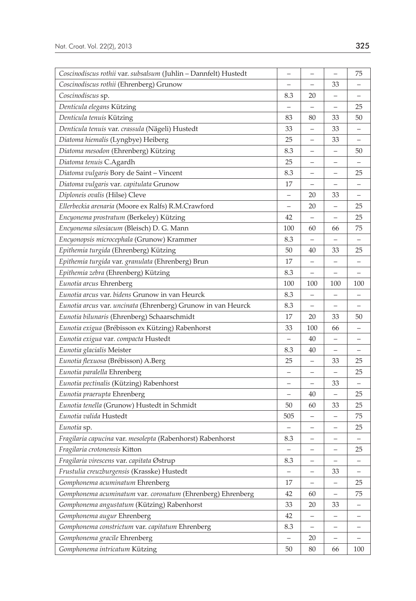| Coscinodiscus rothii var. subsalsum (Juhlin - Dannfelt) Hustedt | —                        | $\qquad \qquad -$        | $\qquad \qquad -$        | 75                       |
|-----------------------------------------------------------------|--------------------------|--------------------------|--------------------------|--------------------------|
| Coscinodiscus rothii (Ehrenberg) Grunow                         | -                        | $\qquad \qquad -$        | 33                       |                          |
| Coscinodiscus sp.                                               | 8.3                      | 20                       |                          |                          |
| Denticula elegans Kützing                                       |                          |                          | $\overline{\phantom{0}}$ | 25                       |
| Denticula tenuis Kützing                                        | 83                       | 80                       | 33                       | 50                       |
| Denticula tenuis var. crassula (Nägeli) Hustedt                 | 33                       |                          | 33                       |                          |
| Diatoma hiemalis (Lyngbye) Heiberg                              | 25                       |                          | 33                       |                          |
| Diatoma mesodon (Ehrenberg) Kützing                             | 8.3                      |                          |                          | 50                       |
| Diatoma tenuis C.Agardh                                         | 25                       |                          |                          |                          |
| Diatoma vulgaris Bory de Saint - Vincent                        | 8.3                      |                          |                          | 25                       |
| Diatoma vulgaris var. capitulata Grunow                         | 17                       | $\overline{\phantom{0}}$ |                          |                          |
| Diploneis ovalis (Hilse) Cleve                                  | —                        | 20                       | 33                       |                          |
| Ellerbeckia arenaria (Moore ex Ralfs) R.M.Crawford              | $\overline{\phantom{0}}$ | 20                       | $\qquad \qquad -$        | 25                       |
| Encyonema prostratum (Berkeley) Kützing                         | 42                       | $\qquad \qquad -$        | —                        | 25                       |
| Encyonema silesiacum (Bleisch) D. G. Mann                       | 100                      | 60                       | 66                       | 75                       |
| Encyonopsis microcephala (Grunow) Krammer                       | 8.3                      |                          |                          |                          |
| Epithemia turgida (Ehrenberg) Kützing                           | 50                       | 40                       | 33                       | 25                       |
| Epithemia turgida var. granulata (Ehrenberg) Brun               | 17                       |                          |                          |                          |
| Epithemia zebra (Ehrenberg) Kützing                             | 8.3                      |                          |                          |                          |
| Eunotia arcus Ehrenberg                                         | 100                      | 100                      | 100                      | 100                      |
| Eunotia arcus var. bidens Grunow in van Heurck                  | 8.3                      |                          |                          |                          |
| Eunotia arcus var. uncinata (Ehrenberg) Grunow in van Heurck    | 8.3                      |                          |                          |                          |
| Eunotia bilunaris (Ehrenberg) Schaarschmidt                     | 17                       | 20                       | 33                       | 50                       |
| Eunotia exigua (Brébisson ex Kützing) Rabenhorst                | 33                       | 100                      | 66                       | -                        |
| Eunotia exigua var. compacta Hustedt                            | $\qquad \qquad -$        | 40                       | -                        | -                        |
| Eunotia glacialis Meister                                       | 8.3                      | 40                       |                          |                          |
| Eunotia flexuosa (Brébisson) A.Berg                             | 25                       |                          | 33                       | 25                       |
| Eunotia paralella Ehrenberg                                     | $\qquad \qquad -$        |                          | $\overline{\phantom{0}}$ | 25                       |
| Eunotia pectinalis (Kützing) Rabenhorst                         |                          |                          | 33                       |                          |
| Eunotia praerupta Ehrenberg                                     | $\qquad \qquad -$        | 40                       | $\overline{\phantom{0}}$ | 25                       |
| Eunotia tenella (Grunow) Hustedt in Schmidt                     | 50                       | 60                       | 33                       | 25                       |
| Eunotia valida Hustedt                                          | 505                      |                          |                          | 75                       |
| Eunotia sp.                                                     |                          |                          |                          | 25                       |
| Fragilaria capucina var. mesolepta (Rabenhorst) Rabenhorst      | 8.3                      |                          |                          |                          |
| Fragilaria crotonensis Kitton                                   | —                        | <sup>-</sup>             | —                        | 25                       |
| Fragilaria virescens var. capitata Østrup                       | 8.3                      | -                        |                          | -                        |
| Frustulia creuzburgensis (Krasske) Hustedt                      | $\qquad \qquad -$        | $\qquad \qquad -$        | 33                       | $\overline{\phantom{m}}$ |
| Gomphonema acuminatum Ehrenberg                                 | 17                       |                          |                          | 25                       |
| Gomphonema acuminatum var. coronatum (Ehrenberg) Ehrenberg      | 42                       | 60                       | $\overline{\phantom{0}}$ | 75                       |
| Gomphonema angustatum (Kützing) Rabenhorst                      | 33                       | 20                       | 33                       |                          |
| Gomphonema augur Ehrenberg                                      | 42                       |                          |                          |                          |
| Gomphonema constrictum var. capitatum Ehrenberg                 | 8.3                      |                          |                          |                          |
| Gomphonema gracile Ehrenberg                                    |                          | 20                       |                          |                          |
| Gomphonema intricatum Kützing                                   | 50                       | 80                       | 66                       | 100                      |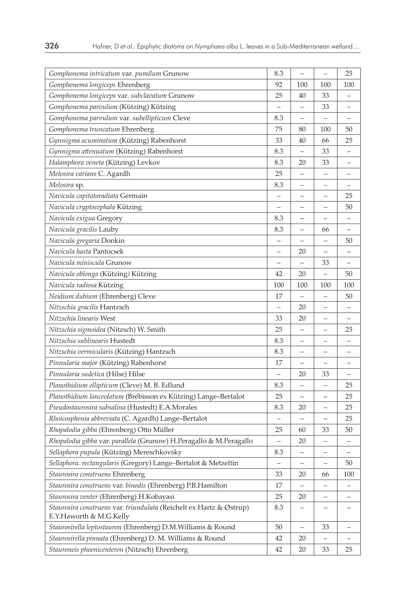| Gomphonema intricatum var. pumilum Grunow                                                      | 8.3                      |                          |                          | 25                       |
|------------------------------------------------------------------------------------------------|--------------------------|--------------------------|--------------------------|--------------------------|
| Gomphonema longiceps Ehrenberg                                                                 | 92                       | 100                      | 100                      | 100                      |
| Gomphonema longiceps var. subclavatum Grunow                                                   | 25                       | 40                       | 33                       | —                        |
| Gomphonema parvulum (Kützing) Kützing                                                          | $\overline{\phantom{0}}$ |                          | 33                       | -                        |
| Gomphonema parvulum var. subellipticum Cleve                                                   | 8.3                      | $\overline{\phantom{0}}$ |                          |                          |
| Gomphonema truncatum Ehrenberg                                                                 | 75                       | 80                       | 100                      | 50                       |
| Gyrosigma acuminatum (Kützing) Rabenhorst                                                      | 33                       | 40                       | 66                       | 25                       |
| Gyrosigma attenuatum (Kützing) Rabenhorst                                                      | 8.3                      |                          | 33                       |                          |
| Halamphora veneta (Kützing) Levkov                                                             | 8.3                      | 20                       | 33                       |                          |
| Melosira varians C. Agardh                                                                     | 25                       |                          |                          |                          |
| Melosira sp.                                                                                   | 8.3                      |                          |                          |                          |
| Navicula capitatoradiata Germain                                                               | —                        |                          |                          | 25                       |
| Navicula cryptocephala Kützing                                                                 | -                        | $\qquad \qquad -$        | -                        | 50                       |
| Navicula exigua Gregory                                                                        | 8.3                      | $\overline{\phantom{0}}$ |                          |                          |
| Navicula gracilis Lauby                                                                        | 8.3                      | $\overline{\phantom{0}}$ | 66                       | $\overline{\phantom{0}}$ |
| Navicula gregaria Donkin                                                                       |                          |                          |                          | 50                       |
| Navicula hasta Pantocsek                                                                       |                          | 20                       |                          |                          |
| Navicula miniscula Grunow                                                                      |                          |                          | 33                       |                          |
| Navicula oblonga (Kützing) Kützing                                                             | 42                       | 20                       |                          | 50                       |
| Navicula radiosa Kützing                                                                       | 100                      | 100                      | 100                      | 100                      |
| Neidium dubium (Ehrenberg) Cleve                                                               | 17                       |                          |                          | 50                       |
| Nitzschia gracilis Hantzsch                                                                    | $\overline{\phantom{0}}$ | 20                       |                          |                          |
| Nitzschia linearis West                                                                        | 33                       | 20                       |                          | $\qquad \qquad -$        |
| Nitzschia sigmoidea (Nitzsch) W. Smith                                                         | 25                       | -                        |                          | 25                       |
| Nitzschia sublinearis Hustedt                                                                  | 8.3                      | $\overline{\phantom{0}}$ |                          |                          |
| Nitzschia vermicularis (Kützing) Hantzsch                                                      | 8.3                      |                          |                          |                          |
| Pinnularia major (Kützing) Rabenhorst                                                          | 17                       |                          |                          |                          |
| Pinnularia sudetica (Hilse) Hilse                                                              | $\overline{\phantom{0}}$ | 20                       | 33                       |                          |
| Planothidium ellipticum (Cleve) M. B. Edlund                                                   | 8.3                      |                          |                          | 25                       |
| Planothidium lanceolatum (Brébisson ex Kützing) Lange-Bertalot                                 | 25                       |                          |                          | 25                       |
| Pseudostaurosira subsalina (Hustedt) E.A.Morales                                               | 8.3                      | 20                       |                          | 25                       |
| Rhoicosphenia abbreviata (C. Agardh) Lange-Bertalot                                            | —                        |                          |                          | 25                       |
| Rhopalodia gibba (Ehrenberg) Otto Müller                                                       | 25                       | 60                       | 33                       | 50                       |
| Rhopalodia gibba var. parallela (Grunow) H.Peragallo & M.Peragallo                             | $\overline{\phantom{0}}$ | 20                       | $\overline{\phantom{0}}$ |                          |
| Sellaphora pupula (Kützing) Mereschkovsky                                                      | 8.3                      |                          |                          |                          |
| Sellaphora. rectangularis (Gregory) Lange-Bertalot & Metzeltin                                 |                          |                          |                          | 50                       |
| Staurosira construens Ehrenberg                                                                | 33                       | 20                       | 66                       | 100                      |
| Staurosira construens var. binodis (Ehrenberg) P.B.Hamilton                                    | 17                       |                          |                          |                          |
| Staurosira venter (Ehrenberg) H.Kobayasi                                                       | 25                       | 20                       |                          |                          |
| Staurosira construens var. triundulata (Reichelt ex Hartz & Østrup)<br>E.Y.Haworth & M.G.Kelly | 8.3                      |                          |                          |                          |
| Staurosirella leptostauron (Ehrenberg) D.M. Williams & Round                                   | 50                       |                          | 33                       |                          |
| Staurosirella pinnata (Ehrenberg) D. M. Williams & Round                                       | 42                       | 20                       |                          |                          |
| Stauroneis phoenicenteron (Nitzsch) Ehrenberg                                                  | 42                       | 20                       | 33                       | 25                       |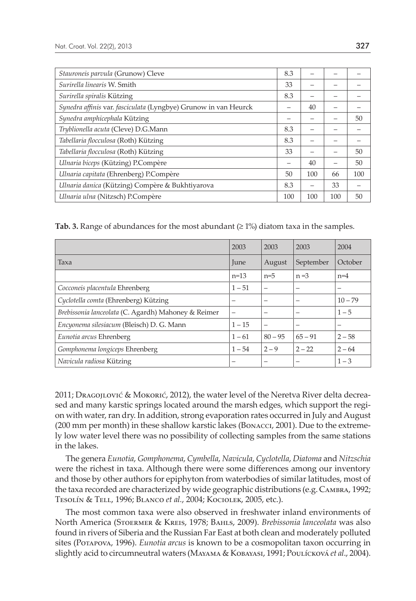| Stauroneis parvula (Grunow) Cleve                               | 8.3 |     |     |     |
|-----------------------------------------------------------------|-----|-----|-----|-----|
| Surirella linearis W. Smith                                     | 33  |     |     |     |
| Surirella spiralis Kützing                                      | 8.3 |     |     |     |
| Synedra affinis var. fasciculata (Lyngbye) Grunow in van Heurck | -   | 40  |     |     |
| Synedra amphicephala Kützing                                    | -   |     |     | 50  |
| Tryblionella acuta (Cleve) D.G.Mann                             | 8.3 |     |     |     |
| Tabellaria flocculosa (Roth) Kützing                            | 8.3 |     |     |     |
| Tabellaria flocculosa (Roth) Kützing                            | 33  |     |     | 50  |
| Ulnaria biceps (Kützing) P.Compère                              |     | 40  |     | 50  |
| Ulnaria capitata (Ehrenberg) P.Compère                          | 50  | 100 | 66  | 100 |
| Ulnaria danica (Kützing) Compère & Bukhtiyarova                 | 8.3 |     | 33  |     |
| Ulnaria ulna (Nitzsch) P.Compère                                | 100 | 100 | 100 | 50  |

**Tab. 3.** Range of abundances for the most abundant  $(21%)$  diatom taxa in the samples.

|                                                     | 2003            | 2003                     | 2003      | 2004      |
|-----------------------------------------------------|-----------------|--------------------------|-----------|-----------|
| Taxa                                                | June            | August                   | September | October   |
|                                                     | $n=13$          | $n=5$                    | $n = 3$   | $n=4$     |
| Cocconeis placentula Ehrenberg                      | $1 - 51$        | -                        | -         | -         |
| Cyclotella comta (Ehrenberg) Kützing                | $\qquad \qquad$ | $\overline{\phantom{0}}$ |           | $10 - 79$ |
| Brebissonia lanceolata (C. Agardh) Mahoney & Reimer |                 | -                        |           | $1 - 5$   |
| Encyonema silesiacum (Bleisch) D. G. Mann           | $1 - 15$        | -                        |           | -         |
| Eunotia arcus Ehrenberg                             | $1 - 61$        | $80 - 95$                | $65 - 91$ | $2 - 58$  |
| Gomphonema longiceps Ehrenberg                      | $1 - 54$        | $2 - 9$                  | $2 - 22$  | $2 - 64$  |
| Navicula radiosa Kützing                            |                 | -                        |           | $1 - 3$   |

2011; Dragojlović & Mokorić, 2012), the water level of the Neretva River delta decreased and many karstic springs located around the marsh edges, which support the region with water, ran dry. In addition, strong evaporation rates occurred in July and August (200 mm per month) in these shallow karstic lakes (Bonacci, 2001). Due to the extremely low water level there was no possibility of collecting samples from the same stations in the lakes.

The genera *Eunotia*, *Gomphonema*, *Cymbella*, *Navicula*, *Cyclotella*, *Diatoma* and *Nitzschia* were the richest in taxa. Although there were some differences among our inventory and those by other authors for epiphyton from waterbodies of similar latitudes, most of the taxa recorded are characterized by wide geographic distributions (e.g. Cambra, 1992; Tesolín & Tell, 1996; Blanco *et al.*, 2004; Kociolek, 2005, etc.).

The most common taxa were also observed in freshwater inland environments of North America (Stoermer & Kreis, 1978; Bahls, 2009). *Brebissonia lanceolata* was also found in rivers of Siberia and the Russian Far East at both clean and moderately polluted sites (Potapova, 1996). *Eunotia arcus* is known to be a cosmopolitan taxon occurring in slightly acid to circumneutral waters (Mayama & Kobayasi, 1991; Poulícková *et al*., 2004).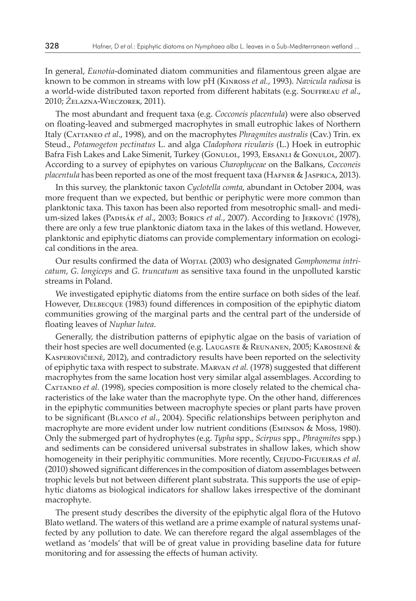In general, *Eunotia*-dominated diatom communities and filamentous green algae are known to be common in streams with low pH (Kinross *et al.*, 1993). *Navicula radiosa* is a world-wide distributed taxon reported from different habitats (e.g. Souffreau *et al*., 2010; *Ż*elazna-Wieczorek, 2011).

The most abundant and frequent taxa (e.g. *Cocconeis placentula*) were also observed on floating-leaved and submerged macrophytes in small eutrophic lakes of Northern Italy (Cattaneo *et al*., 1998), and on the macrophytes *Phragmites australis* (Cav.) Trin. ex Steud., *Potamogeton pectinatus* L. and alga *Cladophora rivularis* (L.) Hoek in eutrophic Bafra Fish Lakes and Lake Simenit, Turkey (Gonulol, 1993, Ersanlı & Gonulol, 2007). According to a survey of epiphytes on various *Charophyceae* on the Balkans, *Cocconeis placentula* has been reported as one of the most frequent taxa (HAFNER & JASPRICA, 2013).

In this survey, the planktonic taxon *Cyclotella comta*, abundant in October 2004, was more frequent than we expected, but benthic or periphytic were more common than planktonic taxa. This taxon has been also reported from mesotrophic small- and medium-sized lakes (Padisák *et al*., 2003; Borics *et al.*, 2007). According to Jerković (1978), there are only a few true planktonic diatom taxa in the lakes of this wetland. However, planktonic and epiphytic diatoms can provide complementary information on ecological conditions in the area.

Our results confirmed the data of Wojtal (2003) who designated *Gomphonema intricatum*, *G*. *longiceps* and *G*. *truncatum* as sensitive taxa found in the unpolluted karstic streams in Poland.

We investigated epiphytic diatoms from the entire surface on both sides of the leaf*.* However, Delbecque (1983) found differences in composition of the epiphytic diatom communities growing of the marginal parts and the central part of the underside of floating leaves of *Nuphar lutea*.

Generally, the distribution patterns of epiphytic algae on the basis of variation of their host species are well documented (e.g. Laugaste & Reunanen, 2005; Karosienė & Kasperovičienė, 2012), and contradictory results have been reported on the selectivity of epiphytic taxa with respect to substrate. Marvan *et al.* (1978) suggested that different macrophytes from the same location host very similar algal assemblages. According to CATTANEO et al. (1998), species composition is more closely related to the chemical characteristics of the lake water than the macrophyte type. On the other hand, differences in the epiphytic communities between macrophyte species or plant parts have proven to be significant (Blanco *et al*., 2004). Specific relationships between periphyton and macrophyte are more evident under low nutrient conditions (Eminson & Moss, 1980). Only the submerged part of hydrophytes (e.g. *Typha* spp., *Scirpus* spp., *Phragmites* spp.) and sediments can be considered universal substrates in shallow lakes, which show homogeneity in their periphyitic communities. More recently, CEJUDO-FIGUEIRAS *et al.* (2010) showed significant differences in the composition of diatom assemblages between trophic levels but not between different plant substrata. This supports the use of epiphytic diatoms as biological indicators for shallow lakes irrespective of the dominant macrophyte.

The present study describes the diversity of the epiphytic algal flora of the Hutovo Blato wetland. The waters of this wetland are a prime example of natural systems unaffected by any pollution to date. We can therefore regard the algal assemblages of the wetland as 'models' that will be of great value in providing baseline data for future monitoring and for assessing the effects of human activity.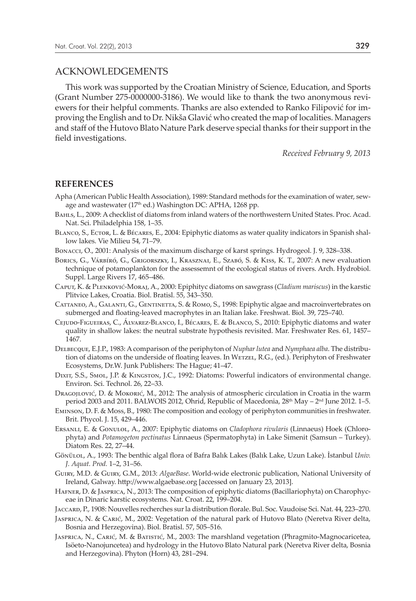### ACKNOWLEDGEMENTS

This work was supported by the Croatian Ministry of Science, Education, and Sports (Grant Number 275-0000000-3186). We would like to thank the two anonymous reviewers for their helpful comments. Thanks are also extended to Ranko Filipović for improving the English and to Dr. Nikša Glavić who created the map of localities. Managers and staff of the Hutovo Blato Nature Park deserve special thanks for their support in the field investigations.

*Received February 9, 2013*

### **REFERENCES**

- Apha (American Public Health Association), 1989: Standard methods for the examination of water, sewage and wastewater (17<sup>th</sup> ed.) Washington DC: APHA, 1268 pp.
- Bahls, L., 2009: A checklist of diatoms from inland waters of the northwestern United States. Proc. Acad. Nat. Sci. Philadelphia 158, 1–35.
- Blanco, S., Ector, L. & Bécares, E., 2004: Epiphytic diatoms as water quality indicators in Spanish shallow lakes. Vie Milieu 54, 71–79.
- Bonacci, O., 2001: Analysis of the maximum discharge of karst springs. Hydrogeol. J. 9, 328–338.
- Borics, G., Várbíró, G., Grigorszky, I., Krasznai, E., Szabó, S. & Kiss, K. T., 2007: A new evaluation technique of potamoplankton for the assessemnt of the ecological status of rivers. Arch. Hydrobiol. Suppl. Large Rivers 17, 465–486.
- Caput, K. & Plenković-Moraj, A., 2000: Epiphityc diatoms on sawgrass (*Cladium mariscus*) in the karstic Plitvice Lakes, Croatia. Biol. Bratisl. 55, 343–350.
- Cattaneo, A., Galanti, G., Gentinetta, S. & Romo, S., 1998: Epiphytic algae and macroinvertebrates on submerged and floating-leaved macrophytes in an Italian lake. Freshwat. Biol. 39, 725–740.
- Cejudo-Figueiras, C., Álvarez-Blanco, I., Bécares, E. & Blanco, S., 2010: Epiphytic diatoms and water quality in shallow lakes: the neutral substrate hypothesis revisited. Mar. Freshwater Res. 61, 1457– 1467.
- Delbecque, E.J.P., 1983: A comparison of the periphyton of *Nuphar lutea* and *Nymphaea alba*. The distribution of diatoms on the underside of floating leaves. In Wetzel, R.G., (ed.). Periphyton of Freshwater Ecosystems, Dr.W. Junk Publishers: The Hague; 41–47.
- Dixit, S.S., Smol, J.P. & Kingston, J.C., 1992: Diatoms: Powerful indicators of environmental change. Environ. Sci. Technol. 26, 22–33.
- Dragojlović, D. & Mokorić, M., 2012: The analysis of atmospheric circulation in Croatia in the warm period 2003 and 2011. BALWOIS 2012, Ohrid, Republic of Macedonia,  $28<sup>th</sup>$  May –  $2<sup>nd</sup>$  June 2012. 1–5.
- Eminson, D. F. & Moss, B., 1980: The composition and ecology of periphyton communities in freshwater. Brit. Phycol. J. 15, 429–446.
- Ersanli, E. & Gonulol, A., 2007: Epiphytic diatoms on *Cladophora rivularis* (Linnaeus) Hoek (Chlorophyta) and *Potamogeton pectinatus* Linnaeus (Spermatophyta) in Lake Simenit (Samsun – Turkey). Diatom Res. 22, 27–44.
- Gönülol, A., 1993: The benthic algal flora of Bafra Balık Lakes (Balık Lake, Uzun Lake). İstanbul *Univ. J. Aquat. Prod.* 1–2, 31–56.
- Guiry, M.D. & Guiry, G.M., 2013: *AlgaeBase*. World-wide electronic publication, National University of Ireland, Galway. http://www.algaebase.org [accessed on January 23, 2013].
- Hafner, D. & Jasprica, N., 2013: The composition of epiphytic diatoms (Bacillariophyta) on Charophyceae in Dinaric karstic ecosystems. Nat. Croat. 22, 199–204.
- Jaccard, P., 1908: Nouvelles recherches sur la distribution florale. Bul. Soc. Vaudoise Sci. Nat. 44, 223–270.
- Jasprica, N. & Carić, M., 2002: Vegetation of the natural park of Hutovo Blato (Neretva River delta, Bosnia and Herzegovina). Biol. Bratisl. 57, 505–516.
- Jasprica, N., Carić, M. & Batistić, M., 2003: The marshland vegetation (Phragmito-Magnocaricetea, Isöeto-Nanojuncetea) and hydrology in the Hutovo Blato Natural park (Neretva River delta, Bosnia and Herzegovina). Phyton (Horn) 43, 281–294.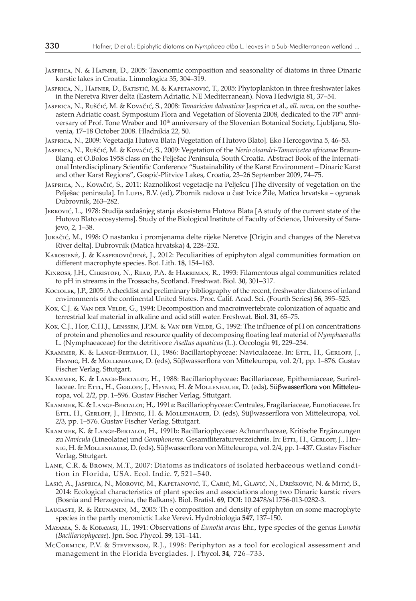- Jasprica, N. & Hafner, D., 2005: Taxonomic composition and seasonality of diatoms in three Dinaric karstic lakes in Croatia. Limnologica 35, 304–319.
- Jasprica, N., Hafner, D., Batistić, M. & Kapetanović, T., 2005: Phytoplankton in three freshwater lakes in the Neretva River delta (Eastern Adriatic, NE Mediterranean). Nova Hedwigia 81, 37–54.
- Jasprica, N., Ruščić, M. & Kovačić, S., 2008: *Tamaricion dalmaticae* Jasprica et al., *all. nova*, on the southeastern Adriatic coast. Symposium Flora and Vegetation of Slovenia 2008, dedicated to the 70<sup>th</sup> anniversary of Prof. Tone Wraber and 10<sup>th</sup> anniversary of the Slovenian Botanical Society, Ljubljana, Slovenia, 17–18 October 2008. Hladnikia 22, 50.
- Jasprica, N., 2009: Vegetacija Hutova Blata [Vegetation of Hutovo Blato]. Eko Hercegovina 5, 46–53.
- Jasprica, N., Ruščić, M. & Kovačić, S., 2009: Vegetation of the *Nerio oleandri-Tamaricetea africanae* Braun-Blanq. et O.Bolos 1958 class on the Pelješac Peninsula, South Croatia. Abstract Book of the International Interdisciplinary Scientific Conference "Sustainability of the Karst Environment – Dinaric Karst and other Karst Regions", Gospić-Plitvice Lakes, Croatia, 23–26 September 2009, 74–75.
- Jasprica, N., Kovačić, S., 2011: Raznolikost vegetacije na Pelješcu [The diversity of vegetation on the Pelješac peninsula]. In Lupis, B.V. (ed), Zbornik radova u čast Ivice Žile, Matica hrvatska – ogranak Dubrovnik, 263–282.
- Jerković, L., 1978: Studija sadašnjeg stanja ekosistema Hutova Blata [A study of the current state of the Hutovo Blato ecosystems]. Study of the Biological Institute of Faculty of Science, University of Sarajevo, 2, 1–38.
- Juračić, M., 1998: O nastanku i promjenama delte rijeke Neretve [Origin and changes of the Neretva River delta]. Dubrovnik (Matica hrvatska) **4**, 228–232.
- Karosienė, J. & Kasperovičienė, J., 2012: Peculiarities of epiphyton algal communities formation on different macrophyte species. Bot. Lith. **18**, 154–163.
- Kinross, J.H., Christofi, N., Read, P.A. & Harriman, R., 1993: Filamentous algal communities related to pH in streams in the Trossachs, Scotland. Freshwat. Biol. **30**, 301–317.
- Kociolek, J.P., 2005: A checklist and preliminary bibliography of the recent, freshwater diatoms of inland environments of the continental United States. Proc. Calif. Acad. Sci. (Fourth Series) **56**, 395–525.
- Kok, C.J. & VAN DER VELDE, G., 1994: Decomposition and macroinvertebrate colonization of aquatic and terrestrial leaf material in alkaline and acid still water. Freshwat. Biol. **31**, 65–75.
- Kok, C.J., Hof, C.H.J., LENSSEN, J.P.M. & Van der Velde, G., 1992: The influence of pH on concentrations of protein and phenolics and resource quality of decomposing floating leaf material of *Nymphaea alba*  L. (Nymphaeaceae) for the detritivore *Asellus aquaticus* (L.). Oecologia **91**, 229–234.
- KRAMMER, K. & LANGE-BERTALOT, H., 1986: Bacillariophyceae: Naviculaceae. In: ETTL, H., GERLOFF, J., Heynig, H. & Mollenhauer, D. (eds), Süβwasserflora von Mitteleuropa, vol. 2/1, pp. 1–876. Gustav Fischer Verlag, Sttutgart.
- KRAMMER, K. & LANGE-BERTALOT, H., 1988: Bacillariophyceae: Bacillariaceae, Epithemiaceae, Surirellaceae. In: Ettl, H., Gerloff, J., Heynig, H. & Mollenhauer, D. (eds), Süβwasserflora von Mitteleuropa, vol. 2/2, pp. 1–596. Gustav Fischer Verlag, Sttutgart.
- Krammer, K. & Lange-Bertalot, H., 1991a: Bacillariophyceae: Centrales, Fragilariaceae, Eunotiaceae. In: Ettl, H., Gerloff, J., Heynig, H. & Mollenhauer, D. (eds), Süβwasserflora von Mitteleuropa, vol. 2/3, pp. 1–576. Gustav Fischer Verlag, Sttutgart.
- Krammer, K. & Lange-Bertalot, H., 1991b: Bacillariophyceae: Achnanthaceae, Kritische Ergänzungen zu *Navicula* (Lineolatae) und *Gomphonema*. Gesamtliteraturverzeichnis. In: ETTL, H., GERLOFF, J., HEYnig, H. & Mollenhauer, D. (eds), Süβwasserflora von Mitteleuropa, vol. 2/4, pp. 1–437. Gustav Fischer Verlag, Sttutgart.
- Lane, C.R. & Brown, M.T., 2007: Diatoms as indicators of isolated herbaceous wetland condition in Florida, USA. Ecol. Indic. **7**, 521–540.
- Lasić, A., Jasprica, N., Morović, M., Kapetanović, T., Carić, M., Glavić, N., Drešković, N. & Mitić, B., 2014: Ecological characteristics of plant species and associations along two Dinaric karstic rivers (Bosnia and Herzegovina, the Balkans). Biol. Bratisl. **69**, DOI: 10.2478/s11756-013-0282-3.
- Laugaste, R. & Reunanen, M., 2005: Th e composition and density of epiphyton on some macrophyte species in the partly meromictic Lake Verevi. Hydrobiologia **547**, 137–150.
- Mayama, S. & Kobayasi, H., 1991: Observations of *Eunotia arcus* Ehr., type species of the genus *Eunotia*  (*Bacillariophyceae*). Jpn. Soc. Phycol. **39**, 131–141.
- McCormick, P.V. & Stevenson, R.J., 1998: Periphyton as a tool for ecological assessment and management in the Florida Everglades. J. Phycol. **34**, 726–733.